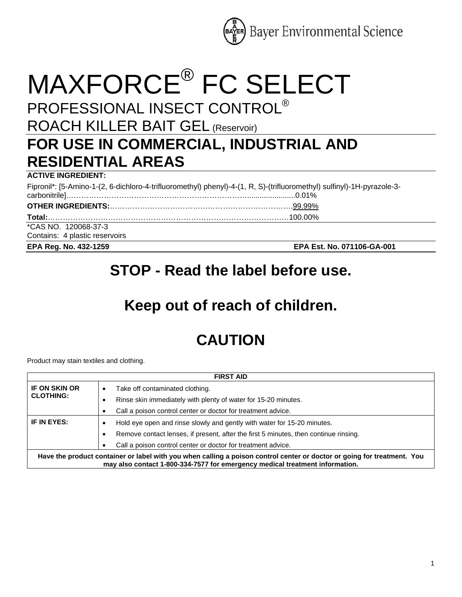

# MAXFORCE® FC SELECT

### PROFESSIONAL INSECT CONTROL®

ROACH KILLER BAIT GEL (Reservoir)

## **FOR USE IN COMMERCIAL, INDUSTRIAL AND RESIDENTIAL AREAS**

### **ACTIVE INGREDIENT:**

Fipronil\*: [5-Amino-1-(2, 6-dichloro-4-trifluoromethyl) phenyl)-4-(1, R, S)-(trifluoromethyl) sulfinyl)-1H-pyrazole-3 carbonitrile]……………………………………………………………….......................0.01% **OTHER INGREDIENTS:**……………………………………………………………….99.99% **Total:**……………………………………………………………………………………100.00% \*CAS NO. 120068-37-3 Contains: 4 plastic reservoirs **EPA Reg. No. 432-1259 EPA Est. No. 071106-GA-001**

### **STOP - Read the label before use.**

# **Keep out of reach of children.**

## **CAUTION**

Product may stain textiles and clothing.

| <b>FIRST AID</b>                                                                                                                                                                                        |                                                                                           |  |
|---------------------------------------------------------------------------------------------------------------------------------------------------------------------------------------------------------|-------------------------------------------------------------------------------------------|--|
| <b>IF ON SKIN OR</b><br><b>CLOTHING:</b>                                                                                                                                                                | Take off contaminated clothing.<br>٠                                                      |  |
|                                                                                                                                                                                                         | Rinse skin immediately with plenty of water for 15-20 minutes.                            |  |
|                                                                                                                                                                                                         | Call a poison control center or doctor for treatment advice.                              |  |
| IF IN EYES:                                                                                                                                                                                             | Hold eye open and rinse slowly and gently with water for 15-20 minutes.<br>٠              |  |
|                                                                                                                                                                                                         | Remove contact lenses, if present, after the first 5 minutes, then continue rinsing.<br>٠ |  |
|                                                                                                                                                                                                         | Call a poison control center or doctor for treatment advice.                              |  |
| Have the product container or label with you when calling a poison control center or doctor or going for treatment. You<br>may also contact 1-800-334-7577 for emergency medical treatment information. |                                                                                           |  |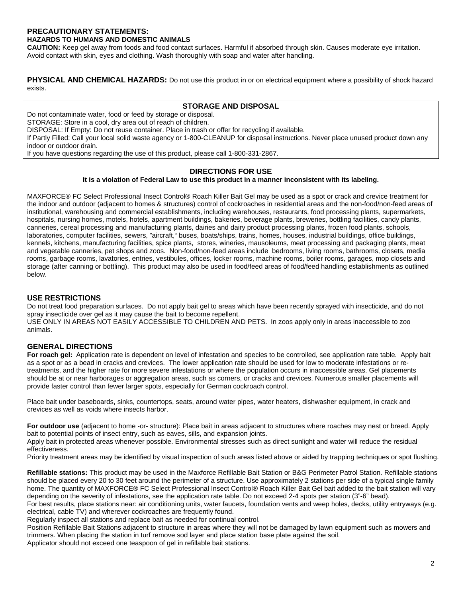#### **PRECAUTIONARY STATEMENTS: HAZARDS TO HUMANS AND DOMESTIC ANIMALS**

**CAUTION:** Keep gel away from foods and food contact surfaces. Harmful if absorbed through skin. Causes moderate eye irritation. Avoid contact with skin, eyes and clothing. Wash thoroughly with soap and water after handling.

**PHYSICAL AND CHEMICAL HAZARDS:** Do not use this product in or on electrical equipment where a possibility of shock hazard exists.

#### **STORAGE AND DISPOSAL**

Do not contaminate water, food or feed by storage or disposal.

STORAGE: Store in a cool, dry area out of reach of children.

DISPOSAL: If Empty: Do not reuse container. Place in trash or offer for recycling if available.

If Partly Filled: Call your local solid waste agency or 1-800-CLEANUP for disposal instructions. Never place unused product down any indoor or outdoor drain.

If you have questions regarding the use of this product, please call 1-800-331-2867.

#### **DIRECTIONS FOR USE**

#### **It is a violation of Federal Law to use this product in a manner inconsistent with its labeling.**

MAXFORCE® FC Select Professional Insect Control® Roach Killer Bait Gel may be used as a spot or crack and crevice treatment for the indoor and outdoor (adjacent to homes & structures) control of cockroaches in residential areas and the non-food/non-feed areas of institutional, warehousing and commercial establishments, including warehouses, restaurants, food processing plants, supermarkets, hospitals, nursing homes, motels, hotels, apartment buildings, bakeries, beverage plants, breweries, bottling facilities, candy plants, canneries, cereal processing and manufacturing plants, dairies and dairy product processing plants, frozen food plants, schools, laboratories, computer facilities, sewers, "aircraft," buses, boats/ships, trains, homes, houses, industrial buildings, office buildings, kennels, kitchens, manufacturing facilities, spice plants, stores, wineries, mausoleums, meat processing and packaging plants, meat and vegetable canneries, pet shops and zoos. Non-food/non-feed areas include bedrooms, living rooms, bathrooms, closets, media rooms, garbage rooms, lavatories, entries, vestibules, offices, locker rooms, machine rooms, boiler rooms, garages, mop closets and storage (after canning or bottling). This product may also be used in food/feed areas of food/feed handling establishments as outlined below.

#### **USE RESTRICTIONS**

Do not treat food preparation surfaces. Do not apply bait gel to areas which have been recently sprayed with insecticide, and do not spray insecticide over gel as it may cause the bait to become repellent.

USE ONLY IN AREAS NOT EASILY ACCESSIBLE TO CHILDREN AND PETS. In zoos apply only in areas inaccessible to zoo animals.

#### **GENERAL DIRECTIONS**

**For roach gel:** Application rate is dependent on level of infestation and species to be controlled, see application rate table. Apply bait as a spot or as a bead in cracks and crevices. The lower application rate should be used for low to moderate infestations or retreatments, and the higher rate for more severe infestations or where the population occurs in inaccessible areas. Gel placements should be at or near harborages or aggregation areas, such as corners, or cracks and crevices. Numerous smaller placements will provide faster control than fewer larger spots, especially for German cockroach control.

Place bait under baseboards, sinks, countertops, seats, around water pipes, water heaters, dishwasher equipment, in crack and crevices as well as voids where insects harbor.

**For outdoor use** (adjacent to home -or- structure): Place bait in areas adjacent to structures where roaches may nest or breed. Apply bait to potential points of insect entry, such as eaves, sills, and expansion joints.

Apply bait in protected areas whenever possible. Environmental stresses such as direct sunlight and water will reduce the residual effectiveness.

Priority treatment areas may be identified by visual inspection of such areas listed above or aided by trapping techniques or spot flushing.

**Refillable stations:** This product may be used in the Maxforce Refillable Bait Station or B&G Perimeter Patrol Station. Refillable stations should be placed every 20 to 30 feet around the perimeter of a structure. Use approximately 2 stations per side of a typical single family home. The quantity of MAXFORCE® FC Select Professional Insect Control® Roach Killer Bait Gel bait added to the bait station will vary depending on the severity of infestations, see the application rate table. Do not exceed 2-4 spots per station (3"-6" bead). For best results, place stations near: air conditioning units, water faucets, foundation vents and weep holes, decks, utility entryways (e.g.

electrical, cable TV) and wherever cockroaches are frequently found.

Regularly inspect all stations and replace bait as needed for continual control.

Position Refillable Bait Stations adjacent to structure in areas where they will not be damaged by lawn equipment such as mowers and trimmers. When placing the station in turf remove sod layer and place station base plate against the soil.

Applicator should not exceed one teaspoon of gel in refillable bait stations.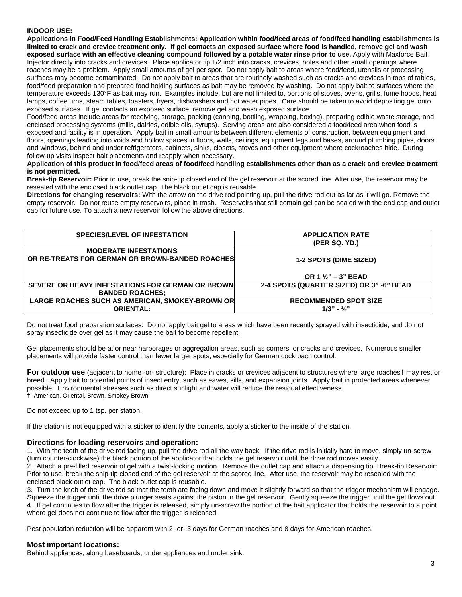#### **INDOOR USE:**

**Applications in Food/Feed Handling Establishments: Application within food/feed areas of food/feed handling establishments is limited to crack and crevice treatment only. If gel contacts an exposed surface where food is handled, remove gel and wash exposed surface with an effective cleaning compound followed by a potable water rinse prior to use.** Apply with Maxforce Bait Injector directly into cracks and crevices. Place applicator tip 1/2 inch into cracks, crevices, holes and other small openings where roaches may be a problem. Apply small amounts of gel per spot. Do not apply bait to areas where food/feed, utensils or processing surfaces may become contaminated. Do not apply bait to areas that are routinely washed such as cracks and crevices in tops of tables, food/feed preparation and prepared food holding surfaces as bait may be removed by washing. Do not apply bait to surfaces where the temperature exceeds 130°F as bait may run. Examples include, but are not limited to, portions of stoves, ovens, grills, fume hoods, heat lamps, coffee urns, steam tables, toasters, fryers, dishwashers and hot water pipes. Care should be taken to avoid depositing gel onto exposed surfaces. If gel contacts an exposed surface, remove gel and wash exposed surface.

Food/feed areas include areas for receiving, storage, packing (canning, bottling, wrapping, boxing), preparing edible waste storage, and enclosed processing systems (mills, dairies, edible oils, syrups). Serving areas are also considered a food/feed area when food is exposed and facility is in operation. Apply bait in small amounts between different elements of construction, between equipment and floors, openings leading into voids and hollow spaces in floors, walls, ceilings, equipment legs and bases, around plumbing pipes, doors and windows, behind and under refrigerators, cabinets, sinks, closets, stoves and other equipment where cockroaches hide. During follow-up visits inspect bait placements and reapply when necessary.

#### **Application of this product in food/feed areas of food/feed handling establishments other than as a crack and crevice treatment is not permitted.**

**Break-tip Reservoir:** Prior to use, break the snip-tip closed end of the gel reservoir at the scored line. After use, the reservoir may be resealed with the enclosed black outlet cap. The black outlet cap is reusable.

**Directions for changing reservoirs:** With the arrow on the drive rod pointing up, pull the drive rod out as far as it will go. Remove the empty reservoir. Do not reuse empty reservoirs, place in trash. Reservoirs that still contain gel can be sealed with the end cap and outlet cap for future use. To attach a new reservoir follow the above directions.

| <b>SPECIES/LEVEL OF INFESTATION</b>                                             | <b>APPLICATION RATE</b><br>(PER SQ. YD.)              |
|---------------------------------------------------------------------------------|-------------------------------------------------------|
| <b>MODERATE INFESTATIONS</b><br>OR RE-TREATS FOR GERMAN OR BROWN-BANDED ROACHES | <b>1-2 SPOTS (DIME SIZED)</b>                         |
|                                                                                 | OR 1 $\frac{1}{2}$ – 3" BEAD                          |
| SEVERE OR HEAVY INFESTATIONS FOR GERMAN OR BROWN<br><b>BANDED ROACHES:</b>      | 2-4 SPOTS (QUARTER SIZED) OR 3" -6" BEAD              |
| LARGE ROACHES SUCH AS AMERICAN, SMOKEY-BROWN OR<br><b>ORIENTAL:</b>             | <b>RECOMMENDED SPOT SIZE</b><br>$1/3" - \frac{1}{2}"$ |

Do not treat food preparation surfaces. Do not apply bait gel to areas which have been recently sprayed with insecticide, and do not spray insecticide over gel as it may cause the bait to become repellent.

Gel placements should be at or near harborages or aggregation areas, such as corners, or cracks and crevices. Numerous smaller placements will provide faster control than fewer larger spots, especially for German cockroach control.

**For outdoor use** (adjacent to home -or- structure): Place in cracks or crevices adjacent to structures where large roaches† may rest or breed. Apply bait to potential points of insect entry, such as eaves, sills, and expansion joints. Apply bait in protected areas whenever possible. Environmental stresses such as direct sunlight and water will reduce the residual effectiveness. **†** American, Oriental, Brown, Smokey Brown

Do not exceed up to 1 tsp. per station.

If the station is not equipped with a sticker to identify the contents, apply a sticker to the inside of the station.

#### **Directions for loading reservoirs and operation:**

1. With the teeth of the drive rod facing up, pull the drive rod all the way back. If the drive rod is initially hard to move, simply un-screw (turn counter-clockwise) the black portion of the applicator that holds the gel reservoir until the drive rod moves easily.

2. Attach a pre-filled reservoir of gel with a twist-locking motion. Remove the outlet cap and attach a dispensing tip. Break-tip Reservoir: Prior to use, break the snip-tip closed end of the gel reservoir at the scored line. After use, the reservoir may be resealed with the enclosed black outlet cap. The black outlet cap is reusable.

3. Turn the knob of the drive rod so that the teeth are facing down and move it slightly forward so that the trigger mechanism will engage. Squeeze the trigger until the drive plunger seats against the piston in the gel reservoir. Gently squeeze the trigger until the gel flows out. 4. If gel continues to flow after the trigger is released, simply un-screw the portion of the bait applicator that holds the reservoir to a point where gel does not continue to flow after the trigger is released.

Pest population reduction will be apparent with 2 -or- 3 days for German roaches and 8 days for American roaches.

#### **Most important locations:**

Behind appliances, along baseboards, under appliances and under sink.